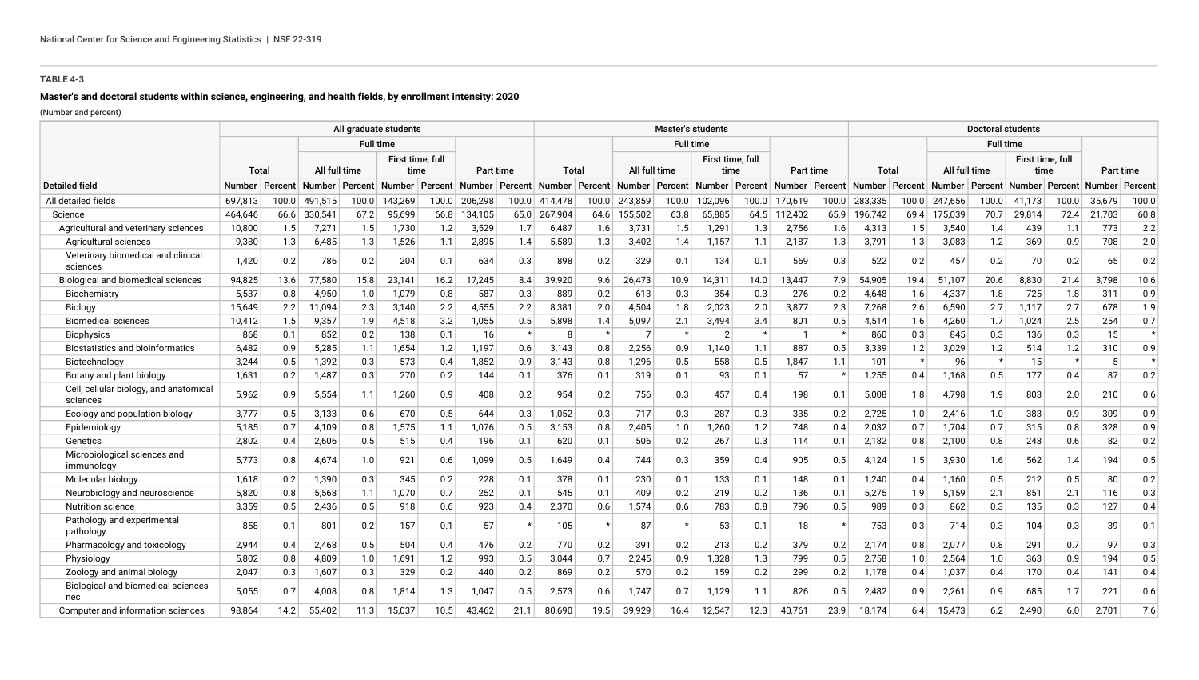# **Master's and doctoral students within science, engineering, and health fields, by enrollment intensity: 2020**

|                                                    |               |         |               |         | All graduate students    |       |                  |         |         |         |               | <b>Master's students</b> |                          |         |         |                  |                  |         |               | <b>Doctoral students</b> |                                     |       |           |         |
|----------------------------------------------------|---------------|---------|---------------|---------|--------------------------|-------|------------------|---------|---------|---------|---------------|--------------------------|--------------------------|---------|---------|------------------|------------------|---------|---------------|--------------------------|-------------------------------------|-------|-----------|---------|
|                                                    |               |         |               |         | <b>Full time</b>         |       |                  |         |         |         |               | <b>Full time</b>         |                          |         |         |                  |                  |         |               | <b>Full time</b>         |                                     |       |           |         |
|                                                    | Tota          |         | All full time |         | First time, full<br>time |       | Part time        |         | Total   |         |               | All full time            | First time, full<br>time |         |         | Part time        | Total            |         |               | All full time            | First time, full<br>time            |       | Part time |         |
| <b>Detailed field</b>                              | <b>Number</b> | Percent | <b>Number</b> | Percent | Number   Percent         |       | Number   Percent |         | Number  | Percent | <b>Number</b> | Percent                  | Number   Percent         |         |         | Number   Percent | Number   Percent |         | <b>Number</b> |                          | Percent   Number   Percent   Number |       |           | Percent |
| All detailed fields                                | 697,813       | 100.0   | 491,515       | 100.0   | 143,269                  | 100.0 | 206,298          | 100.0   | 414,478 | 100.0   | 243,859       | 100.0                    | 102,096                  | 100.0   | 170,619 | 100.0            | 283,335          | 100.0   | 247,656       | 100.0                    | 41,173                              | 100.0 | 35,679    | 100.0   |
| Science                                            | 464,646       | 66.6    | 330,541       | 67.2    | 95,699                   | 66.8  | 134,105          | 65.0    | 267,904 | 64.6    | 155,502       | 63.8                     | 65,885                   | 64.5    | 112,402 | 65.9             | 196,742          | 69.4    | 175,039       | 70.7                     | 29,814                              | 72.4  | 21,703    | 60.8    |
| Agricultural and veterinary sciences               | 10,800        | 1.5     | 7,271         | 1.5     | 1,730                    | 1.2   | 3,529            | 1.7     | 6,487   | 1.6     | 3,731         | 1.5                      | 1,291                    | 1.3     | 2,756   | 1.6              | 4,313            | 1.5     | 3,540         | 1.4                      | 439                                 | 1.1   | 773       | 2.2     |
| Agricultural sciences                              | 9,380         | 1.3     | 6,485         | 1.3     | 1,526                    | 1.1   | 2,895            | 1.4     | 5,589   | 1.3     | 3,402         | 1.4                      | 1,157                    | 1.1     | 2,187   | 1.3              | 3,791            | 1.3     | 3,083         | 1.2                      | 369                                 | 0.9   | 708       | 2.0     |
| Veterinary biomedical and clinical<br>sciences     | 1,420         | 0.2     | 786           | 0.2     | 204                      | 0.1   | 634              | 0.3     | 898     | 0.2     | 329           | 0.1                      | 134                      | 0.1     | 569     | 0.3              | 522              | 0.2     | 457           | 0.2                      | 70                                  | 0.2   | 65        | 0.2     |
| Biological and biomedical sciences                 | 94,825        | 13.6    | 77,580        | 15.8    | 23,141                   | 16.2  | 17,245           | 8.4     | 39,920  | 9.6     | 26,473        | 10.9                     | 14,311                   | 14.0    | 13,447  | 7.9              | 54,905           | 19.4    | 51,107        | 20.6                     | 8,830                               | 21.4  | 3,798     | 10.6    |
| Biochemistry                                       | 5,537         | 0.8     | 4,950         | 1.0     | 1,079                    | 0.8   | 587              | 0.3     | 889     | 0.2     | 613           | 0.3                      | 354                      | 0.3     | 276     | 0.2              | 4,648            | 1.6     | 4,337         | 1.8                      | 725                                 | 1.8   | 311       | 0.9     |
| Biology                                            | 15,649        | 2.2     | 11,094        | 2.3     | 3,140                    | 2.2   | 4,555            | 2.2     | 8,381   | 2.0     | 4,504         | 1.8                      | 2,023                    | 2.0     | 3,877   | 2.3              | 7,268            | 2.6     | 6,590         | 2.7                      | 1,117                               | 2.7   | 678       | 1.9     |
| <b>Biomedical sciences</b>                         | 10,412        | 1.5     | 9,357         | 1.9     | 4,518                    | 3.2   | 1,055            | 0.5     | 5,898   | 1.4     | 5,097         | 2.1                      | 3,494                    | 3.4     | 801     | 0.5              | 4,514            | 1.6     | 4,260         | 1.7                      | 1,024                               | 2.5   | 254       | 0.7     |
| <b>Biophysics</b>                                  | 868           | 0.1     | 852           | 0.2     | 138                      | 0.1   | 16               | $\star$ | 8       | $\star$ |               | $\star$                  | $\overline{2}$           | $\star$ |         |                  | 860              | 0.3     | 845           | 0.3                      | 136                                 | 0.3   | 15        | $\star$ |
| <b>Biostatistics and bioinformatics</b>            | 6,482         | 0.9     | 5,285         | 1.1     | 1,654                    | 1.2   | 1,197            | 0.6     | 3,143   | 0.8     | 2,256         | 0.9                      | 1,140                    | 1.1     | 887     | 0.5              | 3,339            | 1.2     | 3,029         | 1.2                      | 514                                 | 1.2   | 310       | 0.9     |
| Biotechnology                                      | 3,244         | 0.5     | 1,392         | 0.3     | 573                      | 0.4   | 1,852            | 0.9     | 3,143   | 0.8     | 1,296         | 0.5                      | 558                      | 0.5     | 1,847   | 1.1              | 101              | $\star$ | 96            |                          | 15                                  |       | 5         | $\star$ |
| Botany and plant biology                           | 1,631         | 0.2     | 1,487         | 0.3     | 270                      | 0.2   | 144              | 0.1     | 376     | 0.1     | 319           | 0.1                      | 93                       | 0.1     | 57      |                  | 1,255            | 0.4     | 1,168         | 0.5                      | 177                                 | 0.4   | 87        | 0.2     |
| Cell, cellular biology, and anatomical<br>sciences | 5,962         | 0.9     | 5,554         | 1.1     | 1,260                    | 0.9   | 408              | 0.2     | 954     | 0.2     | 756           | 0.3                      | 457                      | 0.4     | 198     | 0.1              | 5,008            | 1.8     | 4,798         | 1.9                      | 803                                 | 2.0   | 210       | 0.6     |
| Ecology and population biology                     | 3,777         | 0.5     | 3,133         | 0.6     | 670                      | 0.5   | 644              | 0.3     | 1,052   | 0.3     | 717           | 0.3                      | 287                      | 0.3     | 335     | 0.2              | 2,725            | 1.0     | 2,416         | 1.0                      | 383                                 | 0.9   | 309       | 0.9     |
| Epidemiology                                       | 5,185         | 0.7     | 4,109         | 0.8     | 1,575                    | 1.1   | 1,076            | 0.5     | 3,153   | 0.8     | 2,405         | 1.0                      | 1,260                    | 1.2     | 748     | 0.4              | 2,032            | 0.7     | 1,704         | 0.7                      | 315                                 | 0.8   | 328       | 0.9     |
| Genetics                                           | 2,802         | 0.4     | 2,606         | 0.5     | 515                      | 0.4   | 196              | 0.1     | 620     | 0.1     | 506           | 0.2                      | 267                      | 0.3     | 114     | 0.1              | 2,182            | 0.8     | 2,100         | 0.8                      | 248                                 | 0.6   | 82        | 0.2     |
| Microbiological sciences and<br>immunology         | 5,773         | 0.8     | 4,674         | 1.0     | 921                      | 0.6   | 1,099            | 0.5     | 1,649   | 0.4     | 744           | 0.3                      | 359                      | 0.4     | 905     | 0.5              | 4,124            | 1.5     | 3,930         | 1.6                      | 562                                 | 1.4   | 194       | 0.5     |
| Molecular biology                                  | 1,618         | 0.2     | 1,390         | 0.3     | 345                      | 0.2   | 228              | 0.1     | 378     | 0.1     | 230           | 0.1                      | 133                      | 0.1     | 148     | 0.1              | 1,240            | 0.4     | 1,160         | 0.5                      | 212                                 | 0.5   | 80        | 0.2     |
| Neurobiology and neuroscience                      | 5,820         | 0.8     | 5,568         | 1.1     | 1,070                    | 0.7   | 252              | 0.1     | 545     | 0.1     | 409           | 0.2                      | 219                      | 0.2     | 136     | 0.1              | 5,275            | 1.9     | 5,159         | 2.1                      | 851                                 | 2.1   | 116       | 0.3     |
| Nutrition science                                  | 3,359         | 0.5     | 2,436         | 0.5     | 918                      | 0.6   | 923              | 0.4     | 2,370   | 0.6     | 1,574         | 0.6                      | 783                      | 0.8     | 796     | 0.5              | 989              | 0.3     | 862           | 0.3                      | 135                                 | 0.3   | 127       | 0.4     |
| Pathology and experimental<br>pathology            | 858           | 0.1     | 801           | 0.2     | 157                      | 0.1   | 57               |         | 105     | $\star$ | 87            |                          | 53                       | 0.1     | 18      |                  | 753              | 0.3     | 714           | 0.3                      | 104                                 | 0.3   | 39        | 0.1     |
| Pharmacology and toxicology                        | 2,944         | 0.4     | 2,468         | 0.5     | 504                      | 0.4   | 476              | 0.2     | 770     | 0.2     | 391           | 0.2                      | 213                      | 0.2     | 379     | 0.2              | 2,174            | 0.8     | 2,077         | 0.8                      | 291                                 | 0.7   | 97        | 0.3     |
| Physiology                                         | 5,802         | 0.8     | 4,809         | 1.0     | 1,691                    | 1.2   | 993              | 0.5     | 3,044   | 0.7     | 2,245         | 0.9                      | 1,328                    | 1.3     | 799     | 0.5              | 2,758            | 1.0     | 2,564         | 1.0                      | 363                                 | 0.9   | 194       | 0.5     |
| Zoology and animal biology                         | 2,047         | 0.3     | 1,607         | 0.3     | 329                      | 0.2   | 440              | 0.2     | 869     | 0.2     | 570           | 0.2                      | 159                      | 0.2     | 299     | 0.2              | 1,178            | 0.4     | 1,037         | 0.4                      | 170                                 | 0.4   | 141       | 0.4     |
| Biological and biomedical sciences<br>nec          | 5,055         | 0.7     | 4,008         | 0.8     | 1,814                    | 1.3   | 1,047            | 0.5     | 2,573   | 0.6     | 1,747         | 0.7                      | 1,129                    | 1.1     | 826     | 0.5              | 2,482            | 0.9     | 2,261         | 0.9                      | 685                                 | 1.7   | 221       | 0.6     |
| Computer and information sciences                  | 98,864        | 14.2    | 55,402        | 11.3    | 15,037                   | 10.5  | 43,462           | 21.1    | 80.690  | 19.5    | 39,929        | 16.4                     | 12,547                   | 12.3    | 40,761  | 23.9             | 18.174           | 6.4     | 15,473        | 6.2                      | 2,490                               | 6.0   | 2,701     | 7.6     |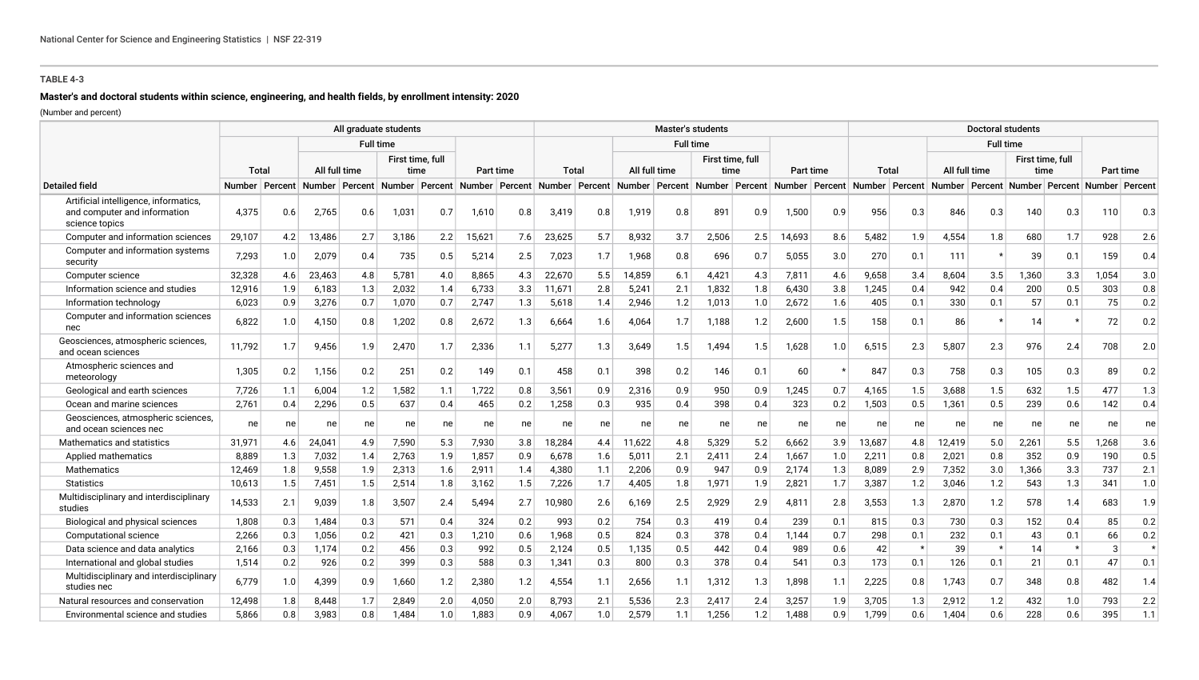# **Master's and doctoral students within science, engineering, and health fields, by enrollment intensity: 2020**

|                                                                                         |                  |     |        |               | All graduate students                                       |     |           |     |        |     |        |               | <b>Master's students</b> |     |        |           |                                                             |     |        | <b>Doctoral students</b> |       |                          |                                                        |           |
|-----------------------------------------------------------------------------------------|------------------|-----|--------|---------------|-------------------------------------------------------------|-----|-----------|-----|--------|-----|--------|---------------|--------------------------|-----|--------|-----------|-------------------------------------------------------------|-----|--------|--------------------------|-------|--------------------------|--------------------------------------------------------|-----------|
|                                                                                         |                  |     |        |               | <b>Full time</b>                                            |     |           |     |        |     |        |               | <b>Full time</b>         |     |        |           |                                                             |     |        | <b>Full time</b>         |       |                          |                                                        |           |
|                                                                                         | Total            |     |        | All full time | First time, full<br>time                                    |     | Part time |     | Total  |     |        | All full time | First time, full<br>time |     |        | Part time | <b>Total</b>                                                |     |        | All full time            |       | First time, full<br>time |                                                        | Part time |
| <b>Detailed field</b>                                                                   | Number   Percent |     |        |               | Number Percent Number Percent Number Percent Number Percent |     |           |     |        |     |        |               |                          |     |        |           | Number Percent Number Percent Number Percent Number Percent |     |        |                          |       |                          | Number   Percent   Number   Percent   Number   Percent |           |
| Artificial intelligence, informatics,<br>and computer and information<br>science topics | 4,375            | 0.6 | 2,765  | 0.6           | 1,031                                                       | 0.7 | 1,610     | 0.8 | 3,419  | 0.8 | 1,919  | 0.8           | 891                      | 0.9 | 1,500  | 0.9       | 956                                                         | 0.3 | 846    | 0.3                      | 140   | 0.3                      | 110                                                    | 0.3       |
| Computer and information sciences                                                       | 29,107           | 4.2 | 13,486 | 2.7           | 3,186                                                       | 2.2 | 15,621    | 7.6 | 23,625 | 5.7 | 8,932  | 3.7           | 2,506                    | 2.5 | 14,693 | 8.6       | 5,482                                                       | 1.9 | 4,554  | 1.8                      | 680   | 1.7                      | 928                                                    | 2.6       |
| Computer and information systems<br>security                                            | 7,293            | 1.0 | 2,079  | 0.4           | 735                                                         | 0.5 | 5,214     | 2.5 | 7,023  | 1.7 | 1,968  | 0.8           | 696                      | 0.7 | 5,055  | 3.0       | 270                                                         | 0.1 | 111    |                          | 39    | 0.1                      | 159                                                    | 0.4       |
| Computer science                                                                        | 32,328           | 4.6 | 23,463 | 4.8           | 5,781                                                       | 4.0 | 8,865     | 4.3 | 22,670 | 5.5 | 14,859 | 6.1           | 4,421                    | 4.3 | 7,811  | 4.6       | 9,658                                                       | 3.4 | 8,604  | 3.5                      | 1,360 | 3.3                      | 1,054                                                  | 3.0       |
| Information science and studies                                                         | 12,916           | 1.9 | 6,183  | 1.3           | 2,032                                                       | 1.4 | 6,733     | 3.3 | 11,671 | 2.8 | 5,241  | 2.1           | 1,832                    | 1.8 | 6,430  | 3.8       | 1,245                                                       | 0.4 | 942    | 0.4                      | 200   | 0.5                      | 303                                                    | 0.8       |
| Information technology                                                                  | 6,023            | 0.9 | 3,276  | 0.7           | 1,070                                                       | 0.7 | 2,747     | 1.3 | 5,618  | 1.4 | 2,946  | 1.2           | 1,013                    | 1.0 | 2,672  | 1.6       | 405                                                         | 0.1 | 330    | 0.1                      | 57    | 0.1                      | 75                                                     | 0.2       |
| Computer and information sciences<br>nec                                                | 6,822            | 1.0 | 4.150  | 0.8           | 1,202                                                       | 0.8 | 2,672     | 1.3 | 6,664  | 1.6 | 4,064  | 1.7           | 1,188                    | 1.2 | 2,600  | 1.5       | 158                                                         | 0.1 | 86     |                          | 14    |                          | 72                                                     | 0.2       |
| Geosciences, atmospheric sciences,<br>and ocean sciences                                | 11.792           | 1.7 | 9,456  | 1.9           | 2,470                                                       | 1.7 | 2,336     | 1.1 | 5.277  | 1.3 | 3,649  | 1.5           | 1,494                    | 1.5 | 1,628  | 1.0       | 6,515                                                       | 2.3 | 5,807  | 2.3                      | 976   | 2.4                      | 708                                                    | 2.0       |
| Atmospheric sciences and<br>meteorology                                                 | 1,305            | 0.2 | 1,156  | 0.2           | 251                                                         | 0.2 | 149       | 0.1 | 458    | 0.1 | 398    | 0.2           | 146                      | 0.1 | 60     |           | 847                                                         | 0.3 | 758    | 0.3                      | 105   | 0.3                      | 89                                                     | 0.2       |
| Geological and earth sciences                                                           | 7,726            | 1.1 | 6,004  | 1.2           | 1,582                                                       | 1.1 | 1,722     | 0.8 | 3,561  | 0.9 | 2,316  | 0.9           | 950                      | 0.9 | 1,245  | 0.7       | 4,165                                                       | 1.5 | 3,688  | 1.5                      | 632   | 1.5                      | 477                                                    | 1.3       |
| Ocean and marine sciences                                                               | 2,761            | 0.4 | 2,296  | 0.5           | 637                                                         | 0.4 | 465       | 0.2 | 1,258  | 0.3 | 935    | 0.4           | 398                      | 0.4 | 323    | 0.2       | 1,503                                                       | 0.5 | 1,361  | 0.5                      | 239   | 0.6                      | 142                                                    | 0.4       |
| Geosciences, atmospheric sciences,<br>and ocean sciences nec                            | ne               | ne  | ne     | ne            | ne                                                          | ne  | ne        | ne  | ne     | ne  | ne     | ne            | ne                       | ne  | ne     | ne        | ne                                                          | ne  | ne     | ne                       | ne    | ne                       | ne                                                     | ne        |
| Mathematics and statistics                                                              | 31,971           | 4.6 | 24,041 | 4.9           | 7,590                                                       | 5.3 | 7,930     | 3.8 | 18,284 | 4.4 | 11,622 | 4.8           | 5,329                    | 5.2 | 6,662  | 3.9       | 13,687                                                      | 4.8 | 12,419 | 5.0                      | 2,261 | 5.5                      | 1,268                                                  | 3.6       |
| Applied mathematics                                                                     | 8,889            | 1.3 | 7,032  | 1.4           | 2,763                                                       | 1.9 | 1,857     | 0.9 | 6,678  | 1.6 | 5,011  | 2.1           | 2,411                    | 2.4 | 1,667  | 1.0       | 2,211                                                       | 0.8 | 2,021  | 0.8                      | 352   | 0.9                      | 190                                                    | 0.5       |
| <b>Mathematics</b>                                                                      | 12.469           | 1.8 | 9,558  | 1.9           | 2,313                                                       | 1.6 | 2,911     | 1.4 | 4,380  | 1.1 | 2,206  | 0.9           | 947                      | 0.9 | 2,174  | 1.3       | 8,089                                                       | 2.9 | 7,352  | 3.0                      | 1,366 | 3.3                      | 737                                                    | 2.1       |
| <b>Statistics</b>                                                                       | 10,613           | 1.5 | 7,451  | 1.5           | 2,514                                                       | 1.8 | 3,162     | 1.5 | 7,226  | 1.7 | 4,405  | 1.8           | 1,971                    | 1.9 | 2,821  | 1.7       | 3,387                                                       | 1.2 | 3,046  | 1.2                      | 543   | 1.3                      | 341                                                    | 1.0       |
| Multidisciplinary and interdisciplinary<br>studies                                      | 14,533           | 2.1 | 9,039  | 1.8           | 3,507                                                       | 2.4 | 5.494     | 2.7 | 10,980 | 2.6 | 6,169  | 2.5           | 2,929                    | 2.9 | 4,811  | 2.8       | 3,553                                                       | 1.3 | 2,870  | 1.2                      | 578   | 1.4                      | 683                                                    | 1.9       |
| Biological and physical sciences                                                        | 1,808            | 0.3 | 1.484  | 0.3           | 571                                                         | 0.4 | 324       | 0.2 | 993    | 0.2 | 754    | 0.3           | 419                      | 0.4 | 239    | 0.1       | 815                                                         | 0.3 | 730    | 0.3                      | 152   | 0.4                      | 85                                                     | 0.2       |
| Computational science                                                                   | 2,266            | 0.3 | 1,056  | 0.2           | 421                                                         | 0.3 | 1,210     | 0.6 | 1,968  | 0.5 | 824    | 0.3           | 378                      | 0.4 | 1,144  | 0.7       | 298                                                         | 0.1 | 232    | 0.1                      | 43    | 0.1                      | 66                                                     | 0.2       |
| Data science and data analytics                                                         | 2,166            | 0.3 | 1,174  | 0.2           | 456                                                         | 0.3 | 992       | 0.5 | 2,124  | 0.5 | 1,135  | 0.5           | 442                      | 0.4 | 989    | 0.6       | 42                                                          |     | 39     | $\star$                  | 14    |                          | 3                                                      | $\star$   |
| International and global studies                                                        | 1,514            | 0.2 | 926    | 0.2           | 399                                                         | 0.3 | 588       | 0.3 | 1,341  | 0.3 | 800    | 0.3           | 378                      | 0.4 | 541    | 0.3       | 173                                                         | 0.1 | 126    | 0.1                      | 21    | 0.1                      | 47                                                     | 0.1       |
| Multidisciplinary and interdisciplinary<br>studies nec                                  | 6,779            | 1.0 | 4,399  | 0.9           | 1,660                                                       | 1.2 | 2,380     | 1.2 | 4,554  | 1.1 | 2,656  | 1.1           | 1,312                    | 1.3 | 1,898  | 1.1       | 2,225                                                       | 0.8 | 1,743  | 0.7                      | 348   | 0.8                      | 482                                                    | 1.4       |
| Natural resources and conservation                                                      | 12,498           | 1.8 | 8.448  | 1.7           | 2,849                                                       | 2.0 | 4,050     | 2.0 | 8,793  | 2.1 | 5,536  | 2.3           | 2,417                    | 2.4 | 3,257  | 1.9       | 3,705                                                       | 1.3 | 2,912  | 1.2                      | 432   | 1.0                      | 793                                                    | 2.2       |
| Environmental science and studies                                                       | 5,866            | 0.8 | 3,983  | 0.8           | 1,484                                                       | 1.0 | 1,883     | 0.9 | 4,067  | 1.0 | 2,579  | 1.1           | 1,256                    | 1.2 | 1,488  | 0.9       | 1,799                                                       | 0.6 | 1,404  | 0.6                      | 228   | 0.6                      | 395                                                    | 1.1       |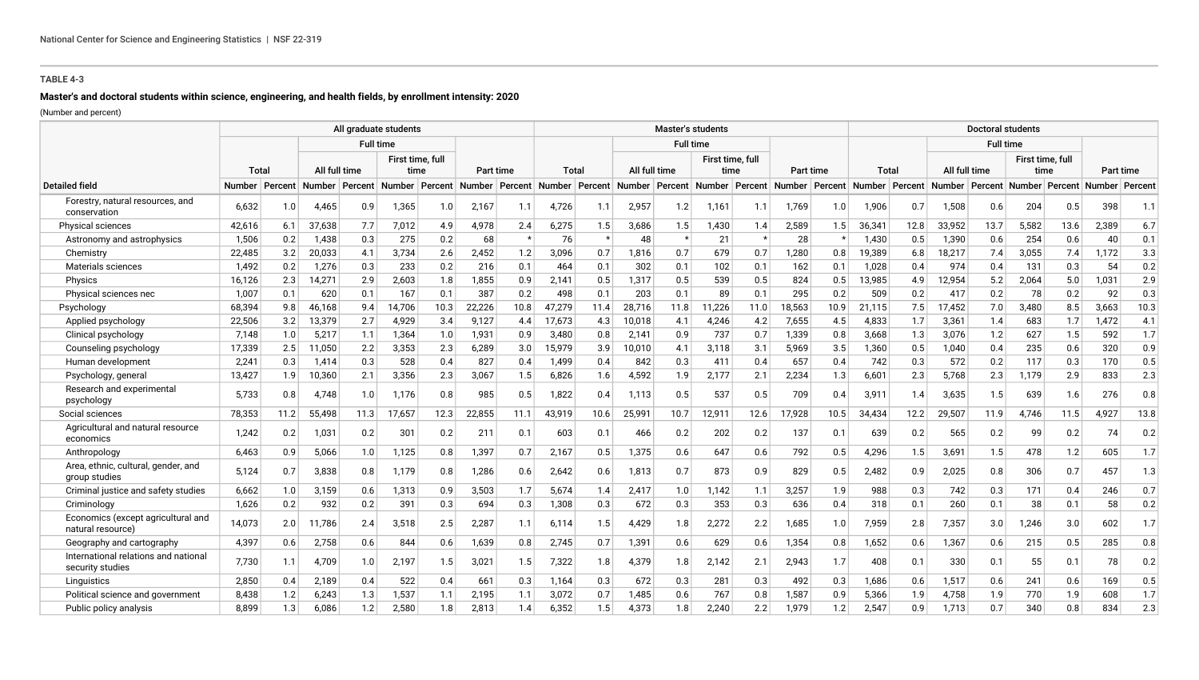# **Master's and doctoral students within science, engineering, and health fields, by enrollment intensity: 2020**

|                                                          |                  |      |                  |      | All graduate students |                  |                  |                  |                  |         |               | <b>Master's students</b> |                  |         |        |                  |                                                             |      |               |                  | <b>Doctoral students</b> |      |                                                        |         |
|----------------------------------------------------------|------------------|------|------------------|------|-----------------------|------------------|------------------|------------------|------------------|---------|---------------|--------------------------|------------------|---------|--------|------------------|-------------------------------------------------------------|------|---------------|------------------|--------------------------|------|--------------------------------------------------------|---------|
|                                                          |                  |      |                  |      | <b>Full time</b>      |                  |                  |                  |                  |         |               | <b>Full time</b>         |                  |         |        |                  |                                                             |      |               | <b>Full time</b> |                          |      |                                                        |         |
|                                                          |                  |      |                  |      | First time, full      |                  |                  |                  |                  |         |               |                          | First time, full |         |        |                  |                                                             |      |               |                  | First time, full         |      |                                                        |         |
|                                                          | Tota             |      | All full time    |      |                       | time             | <b>Part time</b> |                  | Total            |         | All full time |                          | time             |         |        | <b>Part time</b> | Total                                                       |      | All full time |                  | time                     |      | Part time                                              |         |
| <b>Detailed field</b>                                    | Number   Percent |      | Number   Percent |      |                       | Number   Percent |                  | Number   Percent | Number   Percent |         |               |                          |                  |         |        |                  | Number Percent Number Percent Number Percent Number Percent |      |               |                  |                          |      | Number   Percent   Number   Percent   Number   Percent |         |
| Forestry, natural resources, and<br>conservation         | 6,632            | 1.0  | 4,465            | 0.9  | 1,365                 | 1.0              | 2,167            | 1.1              | 4,726            | 1.1     | 2,957         | 1.2                      | 1,161            | 1.1     | 1,769  | 1.0              | 1,906                                                       | 0.7  | 1,508         | 0.6              | 204                      | 0.5  | 398                                                    | 1.1     |
| Physical sciences                                        | 42,616           | 6.1  | 37,638           | 7.7  | 7,012                 | 4.9              | 4,978            | 2.4              | 6,275            | 1.5     | 3,686         | 1.5                      | 1,430            | 1.4     | 2,589  | 1.5              | 36,341                                                      | 12.8 | 33,952        | 13.7             | 5,582                    | 13.6 | 2,389                                                  | 6.7     |
| Astronomy and astrophysics                               | 1.506            | 0.2  | 1.438            | 0.3  | 275                   | 0.2              | 68               | $\star$          | 76               | $\star$ | 48            |                          | 21               | $\star$ | 28     |                  | 1.430                                                       | 0.5  | 1.390         | 0.6              | 254                      | 0.6  | 40                                                     | 0.1     |
| Chemistry                                                | 22,485           | 3.2  | 20,033           | 4.1  | 3,734                 | 2.6              | 2,452            | 1.2              | 3,096            | 0.7     | 1,816         | 0.7                      | 679              | 0.7     | 1,280  | 0.8              | 19,389                                                      | 6.8  | 18,217        | 7.4              | 3,055                    | 7.4  | 1,172                                                  | 3.3     |
| Materials sciences                                       | 1.492            | 0.2  | 1,276            | 0.3  | 233                   | 0.2              | 216              | 0.1              | 464              | 0.1     | 302           | 0.1                      | 102              | 0.1     | 162    | 0.1              | 1,028                                                       | 0.4  | 974           | 0.4              | 131                      | 0.3  | 54                                                     | 0.2     |
| Physics                                                  | 16,126           | 2.3  | 14,271           | 2.9  | 2,603                 | 1.8              | 1,855            | 0.9              | 2,141            | 0.5     | 1,317         | 0.5                      | 539              | 0.5     | 824    | 0.5              | 13,985                                                      | 4.9  | 12,954        | 5.2              | 2,064                    | 5.0  | 1,031                                                  | 2.9     |
| Physical sciences nec                                    | 1,007            | 0.1  | 620              | 0.1  | 167                   | 0.1              | 387              | 0.2              | 498              | 0.1     | 203           | 0.1                      | 89               | 0.1     | 295    | 0.2              | 509                                                         | 0.2  | 417           | 0.2              | 78                       | 0.2  | 92                                                     | 0.3     |
| Psychology                                               | 68,394           | 9.8  | 46,168           | 9.4  | 14,706                | 10.3             | 22,226           | 10.8             | 47,279           | 11.4    | 28,716        | 11.8                     | 11,226           | 11.0    | 18,563 | 10.9             | 21,115                                                      | 7.5  | 17,452        | 7.0              | 3,480                    | 8.5  | 3,663                                                  | 10.3    |
| Applied psychology                                       | 22,506           | 3.2  | 13,379           | 2.7  | 4,929                 | 3.4              | 9,127            | 4.4              | 17,673           | 4.3     | 10,018        | 4.1                      | 4,246            | 4.2     | 7,655  | 4.5              | 4,833                                                       | 1.7  | 3,361         | 1.4              | 683                      | 1.7  | 1,472                                                  | 4.1     |
| Clinical psychology                                      | 7,148            | 1.0  | 5,217            | 1.1  | 1,364                 | 1.0              | 1,931            | 0.9              | 3,480            | 0.8     | 2,141         | 0.9                      | 737              | 0.7     | 1,339  | 0.8              | 3,668                                                       | 1.3  | 3,076         | 1.2              | 627                      | 1.5  | 592                                                    | 1.7     |
| Counseling psychology                                    | 17,339           | 2.5  | 11,050           | 2.2  | 3,353                 | 2.3              | 6,289            | 3.0              | 15,979           | 3.9     | 10,010        | 4.1                      | 3,118            | 3.1     | 5,969  | 3.5              | 1,360                                                       | 0.5  | 1,040         | 0.4              | 235                      | 0.6  | 320                                                    | 0.9     |
| Human development                                        | 2,241            | 0.3  | 1,414            | 0.3  | 528                   | 0.4              | 827              | 0.4              | 1,499            | 0.4     | 842           | 0.3                      | 411              | 0.4     | 657    | 0.4              | 742                                                         | 0.3  | 572           | 0.2              | 117                      | 0.3  | 170                                                    | 0.5     |
| Psychology, general                                      | 13,427           | 1.9  | 10,360           | 2.1  | 3,356                 | 2.3              | 3,067            | 1.5              | 6,826            | 1.6     | 4,592         | 1.9                      | 2,177            | 2.1     | 2,234  | 1.3              | 6,601                                                       | 2.3  | 5,768         | 2.3              | 1,179                    | 2.9  | 833                                                    | 2.3     |
| Research and experimental<br>psychology                  | 5,733            | 0.8  | 4,748            | 1.0  | 1,176                 | 0.8              | 985              | 0.5              | 1,822            | 0.4     | 1.113         | 0.5                      | 537              | 0.5     | 709    | 0.4              | 3,911                                                       | 1.4  | 3,635         | 1.5              | 639                      | 1.6  | 276                                                    | 0.8     |
| Social sciences                                          | 78,353           | 11.2 | 55.498           | 11.3 | 17,657                | 12.3             | 22,855           | 11.1             | 43,919           | 10.6    | 25,991        | 10.7                     | 12,911           | 12.6    | 17,928 | 10.5             | 34,434                                                      | 12.2 | 29,507        | 11.9             | 4.746                    | 11.5 | 4,927                                                  | 13.8    |
| Agricultural and natural resource<br>economics           | 1,242            | 0.2  | 1,031            | 0.2  | 301                   | 0.2              | 211              | 0.1              | 603              | 0.1     | 466           | 0.2                      | 202              | 0.2     | 137    | 0.1              | 639                                                         | 0.2  | 565           | 0.2              | 99                       | 0.2  | 74                                                     | 0.2     |
| Anthropology                                             | 6,463            | 0.9  | 5,066            | 1.0  | 1,125                 | 0.8              | 1,397            | 0.7              | 2,167            | 0.5     | 1,375         | 0.6                      | 647              | 0.6     | 792    | 0.5              | 4,296                                                       | 1.5  | 3,691         | 1.5              | 478                      | 1.2  | 605                                                    | 1.7     |
| Area, ethnic, cultural, gender, and<br>group studies     | 5.124            | 0.7  | 3,838            | 0.8  | 1,179                 | 0.8              | 1,286            | 0.6              | 2,642            | 0.6     | 1,813         | 0.7                      | 873              | 0.9     | 829    | 0.5              | 2,482                                                       | 0.9  | 2.025         | 0.8              | 306                      | 0.7  | 457                                                    | 1.3     |
| Criminal justice and safety studies                      | 6,662            | 1.0  | 3,159            | 0.6  | 1,313                 | 0.9              | 3,503            | 1.7              | 5,674            | 1.4     | 2,417         | 1.0                      | 1,142            | 1.1     | 3,257  | 1.9              | 988                                                         | 0.3  | 742           | 0.3              | 171                      | 0.4  | 246                                                    | 0.7     |
| Criminology                                              | 1,626            | 0.2  | 932              | 0.2  | 391                   | 0.3              | 694              | 0.3              | 1,308            | 0.3     | 672           | 0.3                      | 353              | 0.3     | 636    | 0.4              | 318                                                         | 0.1  | 260           | 0.1              | 38                       | 0.1  | 58                                                     | 0.2     |
| Economics (except agricultural and<br>natural resource)  | 14,073           | 2.0  | 11,786           | 2.4  | 3,518                 | 2.5              | 2,287            | 1.1              | 6,114            | 1.5     | 4,429         | 1.8                      | 2,272            | 2.2     | 1,685  | 1.0              | 7,959                                                       | 2.8  | 7,357         | 3.0              | 1,246                    | 3.0  | 602                                                    | 1.7     |
| Geography and cartography                                | 4,397            | 0.6  | 2,758            | 0.6  | 844                   | 0.6              | 1,639            | 0.8              | 2,745            | 0.7     | 1,391         | 0.6                      | 629              | 0.6     | 1,354  | 0.8              | 1,652                                                       | 0.6  | 1,367         | 0.6              | 215                      | 0.5  | 285                                                    | $0.8\,$ |
| International relations and national<br>security studies | 7.730            | 1.1  | 4.709            | 1.0  | 2,197                 | 1.5              | 3,021            | 1.5              | 7,322            | 1.8     | 4,379         | 1.8                      | 2,142            | 2.1     | 2,943  | 1.7              | 408                                                         | 0.1  | 330           | 0.1              | 55                       | 0.1  | 78                                                     | 0.2     |
| Linguistics                                              | 2,850            | 0.4  | 2,189            | 0.4  | 522                   | 0.4              | 661              | 0.3              | 1,164            | 0.3     | 672           | 0.3                      | 281              | 0.3     | 492    | 0.3              | 1,686                                                       | 0.6  | 1,517         | 0.6              | 241                      | 0.6  | 169                                                    | 0.5     |
| Political science and government                         | 8.438            | 1.2  | 6,243            | 1.3  | 1,537                 | 1.1              | 2,195            | 1.1              | 3,072            | 0.7     | 1,485         | 0.6                      | 767              | 0.8     | 1,587  | 0.9              | 5,366                                                       | 1.9  | 4,758         | 1.9              | 770                      | 1.9  | 608                                                    | 1.7     |
| Public policy analysis                                   | 8,899            | 1.3  | 6,086            | 1.2  | 2,580                 | 1.8              | 2,813            | 1.4              | 6,352            | 1.5     | 4,373         | 1.8                      | 2,240            | 2.2     | 1,979  | 1.2              | 2,547                                                       | 0.9  | 1,713         | 0.7              | 340                      | 0.8  | 834                                                    | 2.3     |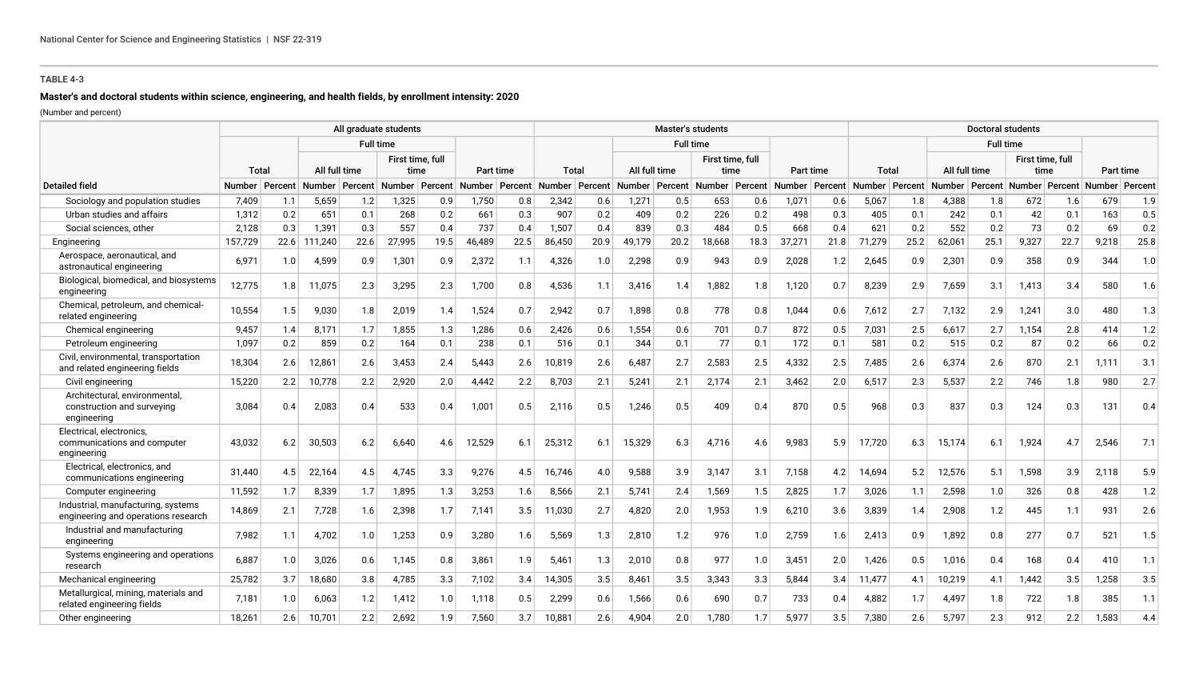# **Master's and doctoral students within science, engineering, and health fields, by enrollment intensity: 2020**

|                                                                            |                  |     |                  |      | All graduate students |      |                  |      |                  |      |               | <b>Master's students</b> |                  |      |        |                  |                  |      |               | <b>Doctoral students</b>            |                  |      |                |      |
|----------------------------------------------------------------------------|------------------|-----|------------------|------|-----------------------|------|------------------|------|------------------|------|---------------|--------------------------|------------------|------|--------|------------------|------------------|------|---------------|-------------------------------------|------------------|------|----------------|------|
|                                                                            |                  |     |                  |      | <b>Full time</b>      |      |                  |      |                  |      |               | <b>Full time</b>         |                  |      |        |                  |                  |      |               | <b>Full time</b>                    |                  |      |                |      |
|                                                                            |                  |     |                  |      | First time, full      |      |                  |      |                  |      |               |                          | First time, full |      |        |                  |                  |      |               |                                     | First time, full |      |                |      |
|                                                                            | Total            |     | All full time    |      | time                  |      | Part time        |      | Total            |      | All full time |                          | time             |      |        | Part time        | Total            |      | All full time |                                     |                  | time | Part time      |      |
| <b>Detailed field</b>                                                      | Number   Percent |     | Number   Percent |      | Number   Percent      |      | Number   Percent |      | Number   Percent |      |               | Number   Percent         | Number   Percent |      |        | Number   Percent | Number   Percent |      |               | Number   Percent   Number   Percent |                  |      | Number Percent |      |
| Sociology and population studies                                           | 7,409            | 1.1 | 5,659            | 1.2  | 1,325                 | 0.9  | 1,750            | 0.8  | 2,342            | 0.6  | 1,271         | 0.5                      | 653              | 0.6  | 1,071  | 0.6              | 5,067            | 1.8  | 4,388         | 1.8                                 | 672              | 1.6  | 679            | 1.9  |
| Urban studies and affairs                                                  | 1.312            | 0.2 | 651              | 0.1  | 268                   | 0.2  | 661              | 0.3  | 907              | 0.2  | 409           | 0.2                      | 226              | 0.2  | 498    | 0.3              | 405              | 0.1  | 242           | 0.1                                 | 42               | 0.1  | 163            | 0.5  |
| Social sciences, other                                                     | 2,128            | 0.3 | 1,391            | 0.3  | 557                   | 0.4  | 737              | 0.4  | 1,507            | 0.4  | 839           | 0.3                      | 484              | 0.5  | 668    | 0.4              | 621              | 0.2  | 552           | 0.2                                 | 73               | 0.2  | 69             | 0.2  |
| Engineering                                                                | 157,729          |     | 22.6 111,240     | 22.6 | 27,995                | 19.5 | 46,489           | 22.5 | 86,450           | 20.9 | 49,179        | 20.2                     | 18,668           | 18.3 | 37,271 | 21.8             | 71,279           | 25.2 | 62,061        | 25.1                                | 9,327            | 22.7 | 9,218          | 25.8 |
| Aerospace, aeronautical, and<br>astronautical engineering                  | 6.971            | 1.0 | 4,599            | 0.9  | 1,301                 | 0.9  | 2,372            | 1.1  | 4,326            | 1.0  | 2,298         | 0.9                      | 943              | 0.9  | 2,028  | 1.2              | 2,645            | 0.9  | 2,301         | 0.9                                 | 358              | 0.9  | 344            | 1.0  |
| Biological, biomedical, and biosystems<br>engineering                      | 12,775           | 1.8 | 11,075           | 2.3  | 3,295                 | 2.3  | 1,700            | 0.8  | 4,536            | 1.1  | 3,416         | 1.4                      | 1,882            | 1.8  | 1,120  | 0.7              | 8,239            | 2.9  | 7,659         | 3.1                                 | 1,413            | 3.4  | 580            | 1.6  |
| Chemical, petroleum, and chemical-<br>related engineering                  | 10,554           | 1.5 | 9,030            | 1.8  | 2,019                 | 1.4  | 1,524            | 0.7  | 2,942            | 0.7  | 1,898         | 0.8                      | 778              | 0.8  | 1,044  | 0.6              | 7,612            | 2.7  | 7.132         | 2.9                                 | 1,241            | 3.0  | 480            | 1.3  |
| Chemical engineering                                                       | 9,457            | 1.4 | 8,171            | 1.7  | 1,855                 | 1.3  | 1,286            | 0.6  | 2,426            | 0.6  | 1,554         | 0.6                      | 701              | 0.7  | 872    | 0.5              | 7,031            | 2.5  | 6,617         | 2.7                                 | 1,154            | 2.8  | 414            | 1.2  |
| Petroleum engineering                                                      | 1.097            | 0.2 | 859              | 0.2  | 164                   | 0.1  | 238              | 0.1  | 516              | 0.1  | 344           | 0.1                      | 77               | 0.1  | 172    | 0.1              | 581              | 0.2  | 515           | 0.2                                 | 87               | 0.2  | 66             | 0.2  |
| Civil, environmental, transportation<br>and related engineering fields     | 18,304           | 2.6 | 12,861           | 2.6  | 3,453                 | 2.4  | 5,443            | 2.6  | 10,819           | 2.6  | 6,487         | 2.7                      | 2,583            | 2.5  | 4,332  | 2.5              | 7,485            | 2.6  | 6,374         | 2.6                                 | 870              | 2.1  | 1.111          | 3.1  |
| Civil engineering                                                          | 15,220           | 2.2 | 10,778           | 2.2  | 2,920                 | 2.0  | 4,442            | 2.2  | 8,703            | 2.1  | 5,241         | 2.1                      | 2,174            | 2.1  | 3,462  | 2.0              | 6,517            | 2.3  | 5,537         | 2.2                                 | 746              | 1.8  | 980            | 2.7  |
| Architectural, environmental,<br>construction and surveying<br>engineering | 3.084            | 0.4 | 2,083            | 0.4  | 533                   | 0.4  | 1,001            | 0.5  | 2,116            | 0.5  | 1,246         | 0.5                      | 409              | 0.4  | 870    | 0.5              | 968              | 0.3  | 837           | 0.3                                 | 124              | 0.3  | 131            | 0.4  |
| Electrical, electronics,<br>communications and computer<br>engineering     | 43,032           | 6.2 | 30,503           | 6.2  | 6,640                 | 4.6  | 12,529           | 6.1  | 25,312           | 6.1  | 15,329        | 6.3                      | 4,716            | 4.6  | 9,983  | 5.9              | 17,720           | 6.3  | 15,174        | 6.1                                 | 1,924            | 4.7  | 2,546          | 7.1  |
| Electrical, electronics, and<br>communications engineering                 | 31.440           | 4.5 | 22,164           | 4.5  | 4,745                 | 3.3  | 9,276            | 4.5  | 16,746           | 4.0  | 9,588         | 3.9                      | 3,147            | 3.1  | 7,158  | 4.2              | 14,694           | 5.2  | 12,576        | 5.1                                 | 1,598            | 3.9  | 2,118          | 5.9  |
| Computer engineering                                                       | 11,592           | 1.7 | 8,339            | 1.7  | 1,895                 | 1.3  | 3,253            | 1.6  | 8,566            | 2.1  | 5,741         | 2.4                      | 1,569            | 1.5  | 2,825  | 1.7              | 3,026            | 1.1  | 2,598         | 1.0                                 | 326              | 0.8  | 428            | 1.2  |
| Industrial, manufacturing, systems<br>engineering and operations research  | 14,869           | 2.1 | 7,728            | 1.6  | 2,398                 | 1.7  | 7,141            | 3.5  | 11.030           | 2.7  | 4,820         | 2.0                      | 1,953            | 1.9  | 6,210  | 3.6              | 3,839            | 1.4  | 2.908         | 1.2                                 | 445              | 1.1  | 931            | 2.6  |
| Industrial and manufacturing<br>engineering                                | 7,982            | 1.1 | 4,702            | 1.0  | 1,253                 | 0.9  | 3,280            | 1.6  | 5,569            | 1.3  | 2,810         | 1.2                      | 976              | 1.0  | 2,759  | 1.6              | 2,413            | 0.9  | 1,892         | 0.8                                 | 277              | 0.7  | 521            | 1.5  |
| Systems engineering and operations<br>research                             | 6.887            | 1.0 | 3,026            | 0.6  | 1,145                 | 0.8  | 3,861            | 1.9  | 5,461            | 1.3  | 2,010         | 0.8                      | 977              | 1.0  | 3,451  | 2.0              | 1,426            | 0.5  | 1,016         | 0.4                                 | 168              | 0.4  | 410            | 1.1  |
| Mechanical engineering                                                     | 25,782           | 3.7 | 18,680           | 3.8  | 4,785                 | 3.3  | 7,102            | 3.4  | 14,305           | 3.5  | 8,461         | 3.5                      | 3,343            | 3.3  | 5,844  | 3.4              | 11,477           | 4.1  | 10,219        | 4.1                                 | 1,442            | 3.5  | 1,258          | 3.5  |
| Metallurgical, mining, materials and<br>related engineering fields         | 7.181            | 1.0 | 6,063            | 1.2  | 1,412                 | 1.0  | 1,118            | 0.5  | 2,299            | 0.6  | 1,566         | 0.6                      | 690              | 0.7  | 733    | 0.4              | 4,882            | 1.7  | 4,497         | 1.8                                 | 722              | 1.8  | 385            | 1.1  |
| Other engineering                                                          | 18.261           | 2.6 | 10.701           | 2.2  | 2,692                 | 1.9  | 7,560            | 3.7  | 10.881           | 2.6  | 4.904         | 2.0                      | 1,780            | 1.7  | 5.977  | 3.5              | 7,380            | 2.6  | 5.797         | 2.3                                 | 912              | 2.2  | 1,583          | 4.4  |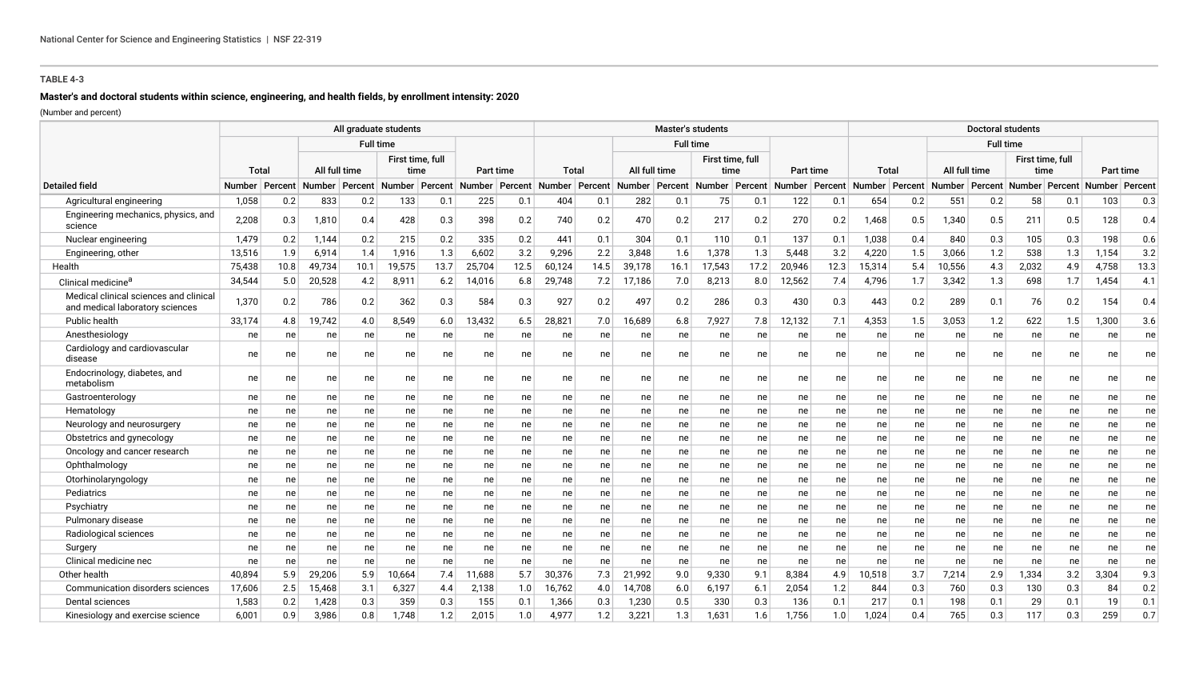# **Master's and doctoral students within science, engineering, and health fields, by enrollment intensity: 2020**

|                                                                           |                  |                 |               |      | All graduate students               |      |                  |      |                  |      |        | <b>Master's students</b> |                                     |      |           |      |                                     |     |                                     | <b>Doctoral students</b> |       |                          |                |      |
|---------------------------------------------------------------------------|------------------|-----------------|---------------|------|-------------------------------------|------|------------------|------|------------------|------|--------|--------------------------|-------------------------------------|------|-----------|------|-------------------------------------|-----|-------------------------------------|--------------------------|-------|--------------------------|----------------|------|
|                                                                           |                  |                 |               |      | <b>Full time</b>                    |      |                  |      |                  |      |        | <b>Full time</b>         |                                     |      |           |      |                                     |     |                                     | <b>Full time</b>         |       |                          |                |      |
|                                                                           | Total            |                 | All full time |      | First time, full<br>time            |      | Part time        |      | Total            |      |        | All full time            | First time, full<br>time            |      | Part time |      | Total                               |     | All full time                       |                          |       | First time, full<br>time | Part time      |      |
| <b>Detailed field</b>                                                     | Number   Percent |                 |               |      | Number   Percent   Number   Percent |      | Number   Percent |      | Number   Percent |      |        |                          | Number   Percent   Number   Percent |      |           |      | Number   Percent   Number   Percent |     | Number   Percent   Number   Percent |                          |       |                          | Number Percent |      |
| Agricultural engineering                                                  | 1,058            | 0.2             | 833           | 0.2  | 133                                 | 0.1  | 225              | 0.1  | 404              | 0.1  | 282    | 0.1                      | 75                                  | 0.1  | 122       | 0.1  | 654                                 | 0.2 | 551                                 | 0.2                      | 58    | 0.1                      | 103            | 0.3  |
| Engineering mechanics, physics, and<br>science                            | 2,208            | 0.3             | 1,810         | 0.4  | 428                                 | 0.3  | 398              | 0.2  | 740              | 0.2  | 470    | 0.2                      | 217                                 | 0.2  | 270       | 0.2  | 1,468                               | 0.5 | 1,340                               | 0.5                      | 211   | 0.5                      | 128            | 0.4  |
| Nuclear engineering                                                       | 1,479            | 0.2             | 1,144         | 0.2  | 215                                 | 0.2  | 335              | 0.2  | 441              | 0.1  | 304    | 0.1                      | 110                                 | 0.1  | 137       | 0.1  | 1,038                               | 0.4 | 840                                 | 0.3                      | 105   | 0.3                      | 198            | 0.6  |
| Engineering, other                                                        | 13,516           | 1.9             | 6,914         | 1.4  | 1,916                               | 1.3  | 6,602            | 3.2  | 9,296            | 2.2  | 3,848  | 1.6                      | 1,378                               | 1.3  | 5,448     | 3.2  | 4,220                               | 1.5 | 3,066                               | 1.2                      | 538   | 1.3                      | 1,154          | 3.2  |
| Health                                                                    | 75,438           | 10.8            | 49,734        | 10.1 | 19,575                              | 13.7 | 25,704           | 12.5 | 60,124           | 14.5 | 39,178 | 16.1                     | 17,543                              | 17.2 | 20,946    | 12.3 | 15,314                              | 5.4 | 10,556                              | 4.3                      | 2,032 | 4.9                      | 4,758          | 13.3 |
| Clinical medicine <sup>a</sup>                                            | 34,544           | 5.0             | 20,528        | 4.2  | 8,911                               | 6.2  | 14,016           | 6.8  | 29,748           | 7.2  | 17,186 | 7.0                      | 8,213                               | 8.0  | 12,562    | 7.4  | 4,796                               | 1.7 | 3,342                               | 1.3                      | 698   | 1.7                      | 1,454          | 4.1  |
| Medical clinical sciences and clinical<br>and medical laboratory sciences | 1,370            | 0.2             | 786           | 0.2  | 362                                 | 0.3  | 584              | 0.3  | 927              | 0.2  | 497    | 0.2                      | 286                                 | 0.3  | 430       | 0.3  | 443                                 | 0.2 | 289                                 | 0.1                      | 76    | 0.2                      | 154            | 0.4  |
| Public health                                                             | 33,174           | 4.8             | 19,742        | 4.0  | 8,549                               | 6.0  | 13,432           | 6.5  | 28,821           | 7.0  | 16,689 | 6.8                      | 7,927                               | 7.8  | 12,132    | 7.1  | 4,353                               | 1.5 | 3,053                               | 1.2                      | 622   | 1.5                      | 1,300          | 3.6  |
| Anesthesiology                                                            | ne               | ne              | ne            | ne   | ne                                  | ne   | ne               | ne   | ne               | ne   | ne     | ne                       | ne                                  | ne   | ne        | ne   | ne                                  | ne  | ne                                  | ne                       | ne    | ne                       | ne             | ne   |
| Cardiology and cardiovascular<br>disease                                  | ne               | ne              | ne            | ne   | ne                                  | ne   | ne               | ne   | ne               | ne   | ne     | ne                       | ne                                  | ne   | ne        | ne   | ne                                  | ne  | ne                                  | ne                       | ne    | ne                       | ne             | ne   |
| Endocrinology, diabetes, and<br>metabolism                                | ne               | ne              | ne            | ne   | ne                                  | ne   | ne               | ne   | ne               | ne   | ne     | ne                       | ne                                  | ne   | ne        | ne   | ne                                  | ne  | ne                                  | ne                       | ne    | ne                       | ne             | ne   |
| Gastroenterology                                                          | ne               | ne              | ne            | ne   | ne                                  | ne   | ne               | ne   | ne               | ne   | ne     | ne                       | ne                                  | ne   | ne        | ne   | ne                                  | ne  | ne                                  | ne                       | ne    | ne                       | ne             | ne   |
| Hematology                                                                | ne               | ne              | ne            | ne   | ne                                  | ne   | ne               | ne   | ne               | ne   | ne     | ne                       | ne                                  | ne   | ne        | ne   | ne                                  | ne  | ne                                  | ne                       | ne    | ne                       | ne             | ne   |
| Neurology and neurosurgery                                                | ne               | ne              | ne            | ne   | ne                                  | ne   | ne               | ne   | ne               | ne   | ne     | ne                       | ne                                  | ne   | ne        | ne   | ne                                  | ne  | ne                                  | ne                       | ne    | ne                       | ne             | ne   |
| Obstetrics and gynecology                                                 | ne               | ne              | ne            | ne   | ne                                  | ne   | ne               | ne   | ne               | ne   | ne     | ne                       | ne                                  | ne   | ne        | ne   | ne                                  | ne  | ne                                  | ne                       | ne    | ne                       | ne             | ne   |
| Oncology and cancer research                                              | ne               | ne              | ne            | ne   | ne                                  | ne   | ne               | ne   | ne               | ne   | ne     | ne                       | ne                                  | ne   | ne        | ne   | ne                                  | ne  | ne                                  | ne                       | ne    | ne                       | ne             | ne   |
| Ophthalmology                                                             | ne               | ne              | ne            | ne   | ne                                  | ne   | ne               | ne   | ne               | ne   | ne     | ne                       | ne                                  | ne   | ne        | ne   | ne                                  | ne  | ne                                  | ne                       | ne    | ne                       | ne             | ne   |
| Otorhinolaryngology                                                       | ne               | ne              | ne            | ne   | ne                                  | ne   | ne               | ne   | ne               | ne   | ne     | ne                       | ne                                  | ne   | ne        | ne   | ne                                  | ne  | ne                                  | ne                       | ne    | ne                       | ne             | ne   |
| Pediatrics                                                                | ne               | ne              | ne            | ne   | ne                                  | ne   | ne               | ne   | ne               | ne   | ne     | ne                       | ne                                  | ne   | ne        | ne   | ne                                  | ne  | ne                                  | ne                       | ne    | ne                       | ne             | ne   |
| Psychiatry                                                                | ne               | ne              | ne            | ne   | ne                                  | ne   | ne               | ne   | ne               | ne   | ne     | ne                       | ne                                  | ne   | ne        | ne   | ne                                  | ne  | ne                                  | ne                       | ne    | ne                       | ne             | ne   |
| Pulmonary disease                                                         | ne               | ne l            | ne            | ne   | ne                                  | ne   | ne               | ne   | ne               | ne   | ne     | ne                       | ne                                  | ne   | ne        | ne   | ne                                  | ne  | ne                                  | ne                       | ne    | ne                       | ne             | ne   |
| Radiological sciences                                                     | ne               | ne l            | ne            | ne   | ne                                  | ne   | ne               | ne   | ne               | ne   | ne     | ne                       | ne                                  | ne   | ne        | ne   | ne                                  | ne  | ne                                  | ne                       | ne    | ne                       | ne             | ne   |
| Surgery                                                                   | ne               | ne <sub>1</sub> | ne            | ne   | ne                                  | ne   | ne               | ne   | ne               | ne   | ne     | ne                       | ne                                  | ne   | ne        | ne   | ne                                  | ne  | ne                                  | ne                       | ne    | ne                       | ne             | ne   |
| Clinical medicine nec                                                     | ne               | ne              | ne            | ne   | ne                                  | ne   | ne               | ne   | ne               | ne   | ne     | ne                       | ne                                  | ne   | ne        | ne   | ne                                  | ne  | ne                                  | ne                       | ne    | ne                       | ne             | ne   |
| Other health                                                              | 40,894           | 5.9             | 29,206        | 5.9  | 10,664                              | 7.4  | 11,688           | 5.7  | 30,376           | 7.3  | 21,992 | 9.0                      | 9,330                               | 9.1  | 8,384     | 4.9  | 10,518                              | 3.7 | 7,214                               | 2.9                      | 1,334 | 3.2                      | 3,304          | 9.3  |
| Communication disorders sciences                                          | 17.606           | 2.5             | 15,468        | 3.1  | 6,327                               | 4.4  | 2,138            | 1.0  | 16,762           | 4.0  | 14,708 | 6.0                      | 6,197                               | 6.1  | 2,054     | 1.2  | 844                                 | 0.3 | 760                                 | 0.3                      | 130   | 0.3                      | 84             | 0.2  |
| Dental sciences                                                           | 1,583            | 0.2             | 1,428         | 0.3  | 359                                 | 0.3  | 155              | 0.1  | 1.366            | 0.3  | 1,230  | 0.5                      | 330                                 | 0.3  | 136       | 0.1  | 217                                 | 0.1 | 198                                 | 0.1                      | 29    | 0.1                      | 19             | 0.1  |
| Kinesiology and exercise science                                          | 6.001            | 0.9             | 3,986         | 0.8  | 1.748                               | 1.2  | 2,015            | 1.0  | 4.977            | 1.2  | 3,221  | 1.3                      | 1,631                               | 1.6  | 1,756     | 1.0  | 1,024                               | 0.4 | 765                                 | 0.3                      | 117   | 0.3                      | 259            | 0.7  |